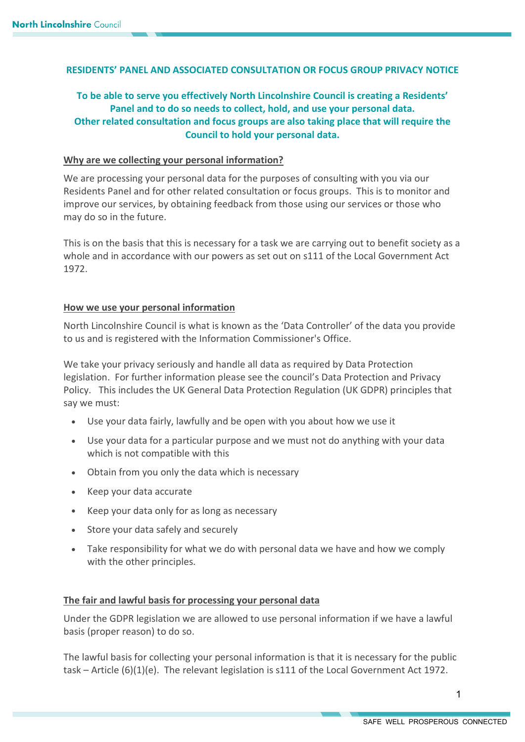# **RESIDENTS' PANEL AND ASSOCIATED CONSULTATION OR FOCUS GROUP PRIVACY NOTICE**

# **To be able to serve you effectively North Lincolnshire Council is creating a Residents' Panel and to do so needs to collect, hold, and use your personal data. Other related consultation and focus groups are also taking place that will require the Council to hold your personal data.**

#### **Why are we collecting your personal information?**

We are processing your personal data for the purposes of consulting with you via our Residents Panel and for other related consultation or focus groups. This is to monitor and improve our services, by obtaining feedback from those using our services or those who may do so in the future.

This is on the basis that this is necessary for a task we are carrying out to benefit society as a whole and in accordance with our powers as set out on s111 of the Local Government Act 1972.

#### **How we use your personal information**

North Lincolnshire Council is what is known as the 'Data Controller' of the data you provide to us and is registered with the Information Commissioner's Office.

We take your privacy seriously and handle all data as required by Data Protection legislation. For further information please see the council's Data Protection and Privacy Policy. This includes the UK General Data Protection Regulation (UK GDPR) principles that say we must:

- Use your data fairly, lawfully and be open with you about how we use it
- Use your data for a particular purpose and we must not do anything with your data which is not compatible with this
- Obtain from you only the data which is necessary
- Keep your data accurate
- Keep your data only for as long as necessary
- Store your data safely and securely
- Take responsibility for what we do with personal data we have and how we comply with the other principles.

## **The fair and lawful basis for processing your personal data**

Under the GDPR legislation we are allowed to use personal information if we have a lawful basis (proper reason) to do so.

The lawful basis for collecting your personal information is that it is necessary for the public task – Article (6)(1)(e). The relevant legislation is s111 of the Local Government Act 1972.

1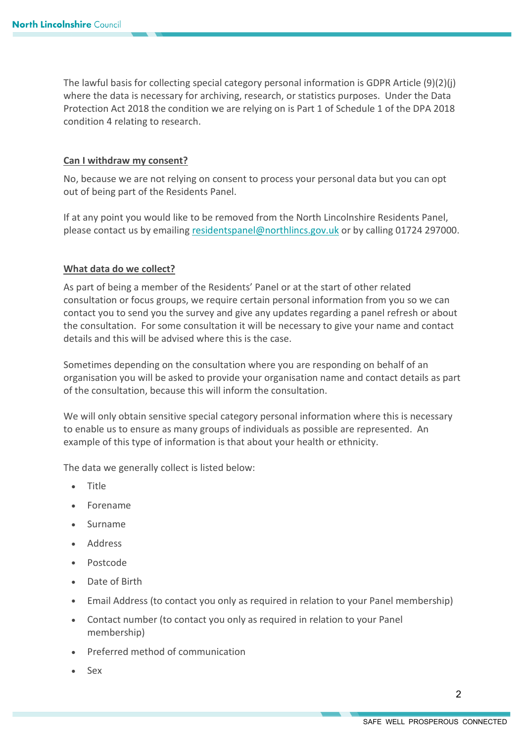The lawful basis for collecting special category personal information is GDPR Article (9)(2)(j) where the data is necessary for archiving, research, or statistics purposes. Under the Data Protection Act 2018 the condition we are relying on is Part 1 of Schedule 1 of the DPA 2018 condition 4 relating to research.

## **Can I withdraw my consent?**

No, because we are not relying on consent to process your personal data but you can opt out of being part of the Residents Panel.

If at any point you would like to be removed from the North Lincolnshire Residents Panel, please contact us by emailing [residentspanel@northlincs.gov.uk](mailto:residentspanel@northlincs.gov.uk) or by calling 01724 297000.

## **What data do we collect?**

As part of being a member of the Residents' Panel or at the start of other related consultation or focus groups, we require certain personal information from you so we can contact you to send you the survey and give any updates regarding a panel refresh or about the consultation. For some consultation it will be necessary to give your name and contact details and this will be advised where this is the case.

Sometimes depending on the consultation where you are responding on behalf of an organisation you will be asked to provide your organisation name and contact details as part of the consultation, because this will inform the consultation.

We will only obtain sensitive special category personal information where this is necessary to enable us to ensure as many groups of individuals as possible are represented. An example of this type of information is that about your health or ethnicity.

The data we generally collect is listed below:

- Title
- Forename
- Surname
- Address
- Postcode
- Date of Birth
- Email Address (to contact you only as required in relation to your Panel membership)
- Contact number (to contact you only as required in relation to your Panel membership)
- Preferred method of communication
- Sex

 $\mathfrak{p}$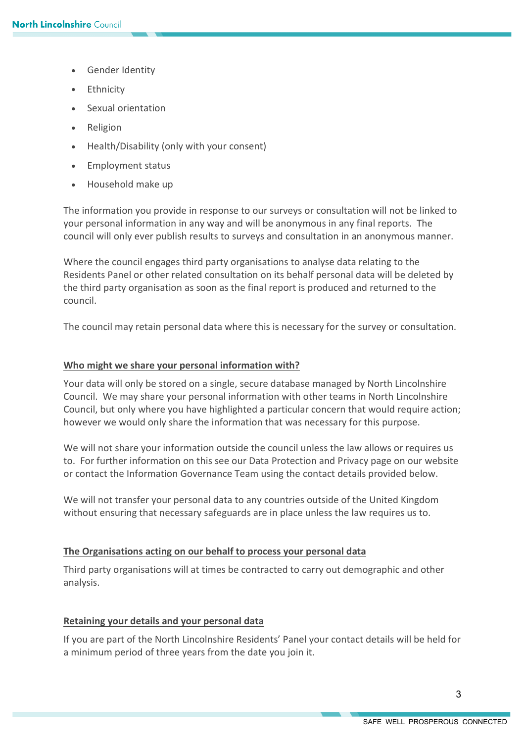- Gender Identity
- **Ethnicity**
- Sexual orientation
- Religion
- Health/Disability (only with your consent)
- Employment status
- Household make up

The information you provide in response to our surveys or consultation will not be linked to your personal information in any way and will be anonymous in any final reports. The council will only ever publish results to surveys and consultation in an anonymous manner.

Where the council engages third party organisations to analyse data relating to the Residents Panel or other related consultation on its behalf personal data will be deleted by the third party organisation as soon as the final report is produced and returned to the council.

The council may retain personal data where this is necessary for the survey or consultation.

#### **Who might we share your personal information with?**

Your data will only be stored on a single, secure database managed by North Lincolnshire Council. We may share your personal information with other teams in North Lincolnshire Council, but only where you have highlighted a particular concern that would require action; however we would only share the information that was necessary for this purpose.

We will not share your information outside the council unless the law allows or requires us to. For further information on this see our Data Protection and Privacy page on our website or contact the Information Governance Team using the contact details provided below.

We will not transfer your personal data to any countries outside of the United Kingdom without ensuring that necessary safeguards are in place unless the law requires us to.

#### **The Organisations acting on our behalf to process your personal data**

Third party organisations will at times be contracted to carry out demographic and other analysis.

#### **Retaining your details and your personal data**

If you are part of the North Lincolnshire Residents' Panel your contact details will be held for a minimum period of three years from the date you join it.